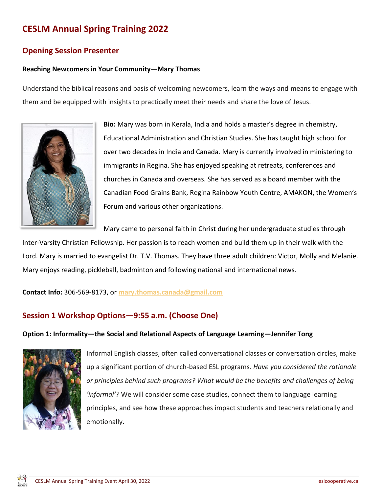# **CESLM Annual Spring Training 2022**

## **Opening Session Presenter**

### **Reaching Newcomers in Your Community—Mary Thomas**

Understand the biblical reasons and basis of welcoming newcomers, learn the ways and means to engage with them and be equipped with insights to practically meet their needs and share the love of Jesus.



**Bio:** Mary was born in Kerala, India and holds a master's degree in chemistry, Educational Administration and Christian Studies. She has taught high school for over two decades in India and Canada. Mary is currently involved in ministering to immigrants in Regina. She has enjoyed speaking at retreats, conferences and churches in Canada and overseas. She has served as a board member with the Canadian Food Grains Bank, Regina Rainbow Youth Centre, AMAKON, the Women's Forum and various other organizations.

Mary came to personal faith in Christ during her undergraduate studies through

Inter-Varsity Christian Fellowship. Her passion is to reach women and build them up in their walk with the Lord. Mary is married to evangelist Dr. T.V. Thomas. They have three adult children: Victor, Molly and Melanie. Mary enjoys reading, pickleball, badminton and following national and international news.

**Contact Info:** 306-569-8173, or **[mary.thomas.canada@gmail.com](mailto:mary.thomas.canada@gmail.com)**

## **Session 1 Workshop Options—9:55 a.m. (Choose One)**

#### **Option 1: Informality—the Social and Relational Aspects of Language Learning—Jennifer Tong**



Informal English classes, often called conversational classes or conversation circles, make up a significant portion of church-based ESL programs. *Have you considered the rationale or principles behind such programs? What would be the benefits and challenges of being 'informal'?* We will consider some case studies, connect them to language learning principles, and see how these approaches impact students and teachers relationally and emotionally.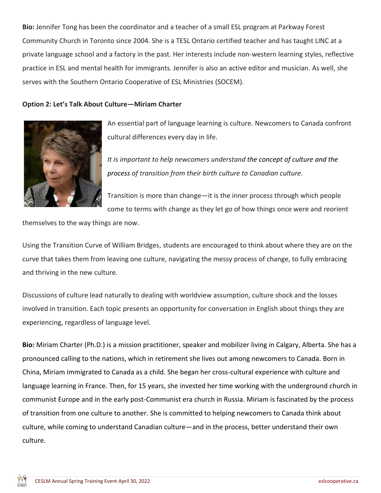**Bio:** Jennifer Tong has been the coordinator and a teacher of a small ESL program at Parkway Forest Community Church in Toronto since 2004. She is a TESL Ontario certified teacher and has taught LINC at a private language school and a factory in the past. Her interests include non-western learning styles, reflective practice in ESL and mental health for immigrants. Jennifer is also an active editor and musician. As well, she serves with the Southern Ontario Cooperative of ESL Ministries (SOCEM).

### **Option 2: Let's Talk About Culture—Miriam Charter**



An essential part of language learning is culture. Newcomers to Canada confront cultural differences every day in life.

*It is important to help newcomers understand the concept of culture and the process of transition from their birth culture to Canadian culture.*

Transition is more than change—it is the inner process through which people come to terms with change as they let go of how things once were and reorient

themselves to the way things are now.

Using the Transition Curve of William Bridges, students are encouraged to think about where they are on the curve that takes them from leaving one culture, navigating the messy process of change, to fully embracing and thriving in the new culture.

Discussions of culture lead naturally to dealing with worldview assumption, culture shock and the losses involved in transition. Each topic presents an opportunity for conversation in English about things they are experiencing, regardless of language level.

**Bio:** Miriam Charter (Ph.D.) is a mission practitioner, speaker and mobilizer living in Calgary, Alberta. She has a pronounced calling to the nations, which in retirement she lives out among newcomers to Canada. Born in China, Miriam immigrated to Canada as a child. She began her cross-cultural experience with culture and language learning in France. Then, for 15 years, she invested her time working with the underground church in communist Europe and in the early post-Communist era church in Russia. Miriam is fascinated by the process of transition from one culture to another. She is committed to helping newcomers to Canada think about culture, while coming to understand Canadian culture—and in the process, better understand their own culture.